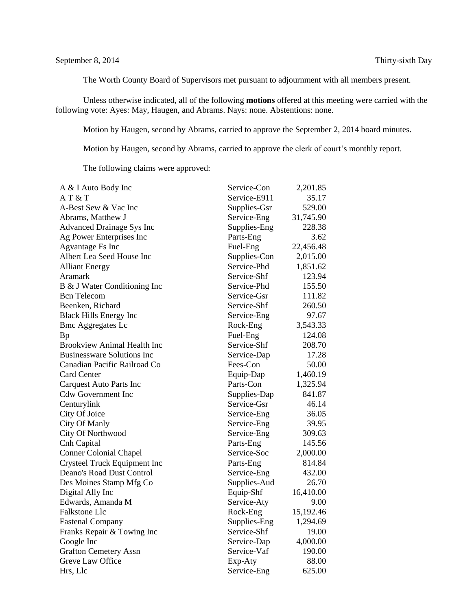The Worth County Board of Supervisors met pursuant to adjournment with all members present.

Unless otherwise indicated, all of the following **motions** offered at this meeting were carried with the following vote: Ayes: May, Haugen, and Abrams. Nays: none. Abstentions: none.

Motion by Haugen, second by Abrams, carried to approve the September 2, 2014 board minutes.

Motion by Haugen, second by Abrams, carried to approve the clerk of court's monthly report.

The following claims were approved:

| A & I Auto Body Inc                | Service-Con  | 2,201.85  |
|------------------------------------|--------------|-----------|
| AT & T                             | Service-E911 | 35.17     |
| A-Best Sew & Vac Inc               | Supplies-Gsr | 529.00    |
| Abrams, Matthew J                  | Service-Eng  | 31,745.90 |
| <b>Advanced Drainage Sys Inc</b>   | Supplies-Eng | 228.38    |
| Ag Power Enterprises Inc           | Parts-Eng    | 3.62      |
| <b>Agvantage Fs Inc</b>            | Fuel-Eng     | 22,456.48 |
| Albert Lea Seed House Inc          | Supplies-Con | 2,015.00  |
| <b>Alliant Energy</b>              | Service-Phd  | 1,851.62  |
| Aramark                            | Service-Shf  | 123.94    |
| B & J Water Conditioning Inc       | Service-Phd  | 155.50    |
| <b>Bcn Telecom</b>                 | Service-Gsr  | 111.82    |
| Beenken, Richard                   | Service-Shf  | 260.50    |
| <b>Black Hills Energy Inc</b>      | Service-Eng  | 97.67     |
| <b>Bmc Aggregates Lc</b>           | Rock-Eng     | 3,543.33  |
| <b>Bp</b>                          | Fuel-Eng     | 124.08    |
| <b>Brookview Animal Health Inc</b> | Service-Shf  | 208.70    |
| <b>Businessware Solutions Inc</b>  | Service-Dap  | 17.28     |
| Canadian Pacific Railroad Co       | Fees-Con     | 50.00     |
| <b>Card Center</b>                 | Equip-Dap    | 1,460.19  |
| <b>Carquest Auto Parts Inc</b>     | Parts-Con    | 1,325.94  |
| <b>Cdw Government Inc</b>          | Supplies-Dap | 841.87    |
| Centurylink                        | Service-Gsr  | 46.14     |
| City Of Joice                      | Service-Eng  | 36.05     |
| City Of Manly                      | Service-Eng  | 39.95     |
| City Of Northwood                  | Service-Eng  | 309.63    |
| Cnh Capital                        | Parts-Eng    | 145.56    |
| <b>Conner Colonial Chapel</b>      | Service-Soc  | 2,000.00  |
| Crysteel Truck Equipment Inc       | Parts-Eng    | 814.84    |
| Deano's Road Dust Control          | Service-Eng  | 432.00    |
| Des Moines Stamp Mfg Co            | Supplies-Aud | 26.70     |
| Digital Ally Inc                   | Equip-Shf    | 16,410.00 |
| Edwards, Amanda M                  | Service-Aty  | 9.00      |
| Falkstone Llc                      | Rock-Eng     | 15,192.46 |
| <b>Fastenal Company</b>            | Supplies-Eng | 1,294.69  |
| Franks Repair & Towing Inc         | Service-Shf  | 19.00     |
| Google Inc                         | Service-Dap  | 4,000.00  |
| <b>Grafton Cemetery Assn</b>       | Service-Vaf  | 190.00    |
| Greve Law Office                   | Exp-Aty      | 88.00     |
| Hrs, Llc                           | Service-Eng  | 625.00    |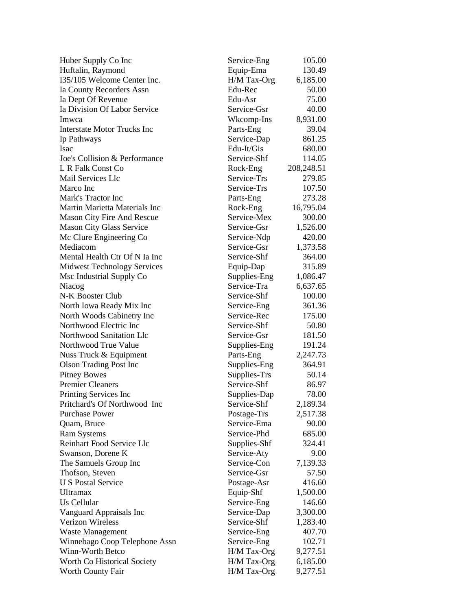| Huber Supply Co Inc                               | Service-Eng  | 105.00           |
|---------------------------------------------------|--------------|------------------|
| Huftalin, Raymond                                 | Equip-Ema    | 130.49           |
| I35/105 Welcome Center Inc.                       | H/M Tax-Org  | 6,185.00         |
| Ia County Recorders Assn                          | Edu-Rec      | 50.00            |
| Ia Dept Of Revenue                                | Edu-Asr      | 75.00            |
| Ia Division Of Labor Service                      | Service-Gsr  | 40.00            |
| Imwca                                             | Wkcomp-Ins   | 8,931.00         |
| <b>Interstate Motor Trucks Inc</b>                | Parts-Eng    | 39.04            |
| Ip Pathways                                       | Service-Dap  | 861.25           |
| Isac                                              | Edu-It/Gis   | 680.00           |
| Joe's Collision & Performance                     | Service-Shf  | 114.05           |
| L R Falk Const Co                                 | Rock-Eng     | 208,248.51       |
| Mail Services Llc                                 | Service-Trs  | 279.85           |
| Marco Inc                                         | Service-Trs  | 107.50           |
| Mark's Tractor Inc                                | Parts-Eng    | 273.28           |
| Martin Marietta Materials Inc                     | Rock-Eng     | 16,795.04        |
| <b>Mason City Fire And Rescue</b>                 | Service-Mex  | 300.00           |
| Mason City Glass Service                          | Service-Gsr  | 1,526.00         |
| Mc Clure Engineering Co                           | Service-Ndp  | 420.00           |
| Mediacom                                          | Service-Gsr  | 1,373.58         |
| Mental Health Ctr Of N Ia Inc                     | Service-Shf  | 364.00           |
| <b>Midwest Technology Services</b>                | Equip-Dap    | 315.89           |
| Msc Industrial Supply Co                          | Supplies-Eng | 1,086.47         |
| Niacog                                            | Service-Tra  | 6,637.65         |
| N-K Booster Club                                  | Service-Shf  | 100.00           |
| North Iowa Ready Mix Inc                          | Service-Eng  | 361.36           |
| North Woods Cabinetry Inc                         | Service-Rec  | 175.00           |
| Northwood Electric Inc                            | Service-Shf  | 50.80            |
| Northwood Sanitation Llc                          | Service-Gsr  | 181.50           |
| Northwood True Value                              | Supplies-Eng | 191.24           |
| Nuss Truck & Equipment                            | Parts-Eng    | 2,247.73         |
| <b>Olson Trading Post Inc</b>                     | Supplies-Eng | 364.91           |
| <b>Pitney Bowes</b>                               | Supplies-Trs | 50.14            |
| <b>Premier Cleaners</b>                           | Service-Shf  | 86.97            |
| Printing Services Inc                             | Supplies-Dap | 78.00            |
| Pritchard's Of Northwood Inc                      | Service-Shf  | 2,189.34         |
| <b>Purchase Power</b>                             | Postage-Trs  | 2,517.38         |
| Quam, Bruce                                       | Service-Ema  | 90.00            |
| <b>Ram Systems</b>                                | Service-Phd  | 685.00           |
| Reinhart Food Service Llc                         | Supplies-Shf | 324.41           |
| Swanson, Dorene K                                 | Service-Aty  | 9.00             |
| The Samuels Group Inc                             | Service-Con  | 7,139.33         |
| Thofson, Steven                                   | Service-Gsr  | 57.50            |
| <b>U S Postal Service</b>                         | Postage-Asr  | 416.60           |
| <b>Ultramax</b>                                   | Equip-Shf    | 1,500.00         |
| Us Cellular                                       | Service-Eng  | 146.60           |
| Vanguard Appraisals Inc                           | Service-Dap  | 3,300.00         |
| <b>Verizon Wireless</b>                           | Service-Shf  | 1,283.40         |
|                                                   |              |                  |
| Waste Management                                  | Service-Eng  | 407.70<br>102.71 |
| Winnebago Coop Telephone Assn<br>Winn-Worth Betco | Service-Eng  |                  |
|                                                   | H/M Tax-Org  | 9,277.51         |
| Worth Co Historical Society                       | H/M Tax-Org  | 6,185.00         |
| <b>Worth County Fair</b>                          | H/M Tax-Org  | 9,277.51         |